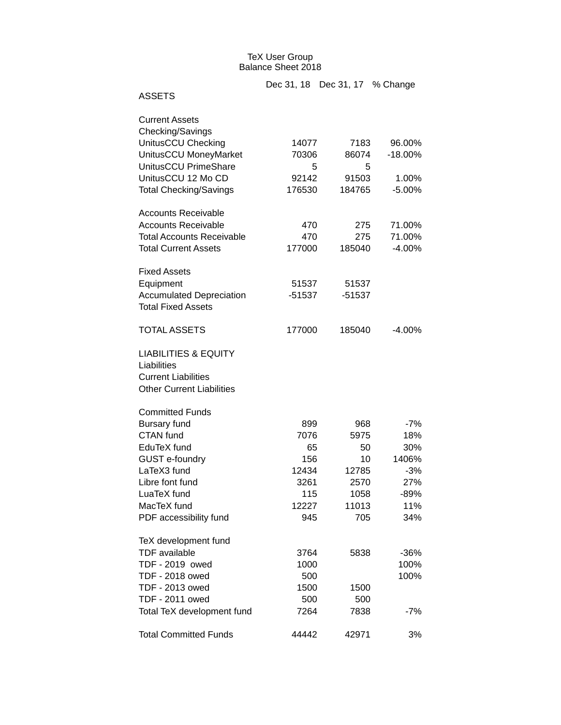## TeX User Group Balance Sheet 2018

|                                  |          | Dec 31, 18 Dec 31, 17 % Change |           |
|----------------------------------|----------|--------------------------------|-----------|
| <b>ASSETS</b>                    |          |                                |           |
| <b>Current Assets</b>            |          |                                |           |
| Checking/Savings                 |          |                                |           |
| UnitusCCU Checking               | 14077    | 7183                           | 96.00%    |
| UnitusCCU MoneyMarket            | 70306    | 86074                          | $-18.00%$ |
| UnitusCCU PrimeShare             | 5        | 5                              |           |
| UnitusCCU 12 Mo CD               | 92142    | 91503                          | 1.00%     |
| <b>Total Checking/Savings</b>    | 176530   | 184765                         | $-5.00%$  |
| <b>Accounts Receivable</b>       |          |                                |           |
| <b>Accounts Receivable</b>       | 470      | 275                            | 71.00%    |
| <b>Total Accounts Receivable</b> | 470      | 275                            | 71.00%    |
| <b>Total Current Assets</b>      | 177000   | 185040                         | $-4.00%$  |
| <b>Fixed Assets</b>              |          |                                |           |
| Equipment                        | 51537    | 51537                          |           |
| <b>Accumulated Depreciation</b>  | $-51537$ | $-51537$                       |           |
| <b>Total Fixed Assets</b>        |          |                                |           |
| <b>TOTAL ASSETS</b>              | 177000   | 185040                         | $-4.00%$  |
| <b>LIABILITIES &amp; EQUITY</b>  |          |                                |           |
| Liabilities                      |          |                                |           |
| <b>Current Liabilities</b>       |          |                                |           |
| <b>Other Current Liabilities</b> |          |                                |           |
| <b>Committed Funds</b>           |          |                                |           |
| <b>Bursary fund</b>              | 899      | 968                            | $-7%$     |
| <b>CTAN</b> fund                 | 7076     | 5975                           | 18%       |
| EduTeX fund                      | 65       | 50                             | 30%       |
| GUST e-foundry                   | 156      | 10                             | 1406%     |
| LaTeX3 fund                      | 12434    | 12785                          | $-3%$     |
| Libre font fund                  | 3261     | 2570                           | 27%       |
| LuaTeX fund                      | 115      | 1058                           | -89%      |
| MacTeX fund                      | 12227    | 11013                          | 11%       |
| PDF accessibility fund           | 945      | 705                            | 34%       |
| TeX development fund             |          |                                |           |
| <b>TDF</b> available             | 3764     | 5838                           | $-36%$    |
| TDF - 2019 owed                  | 1000     |                                | 100%      |
| TDF - 2018 owed                  | 500      |                                | 100%      |
| TDF - 2013 owed                  | 1500     | 1500                           |           |
| TDF - 2011 owed                  | 500      | 500                            |           |
| Total TeX development fund       | 7264     | 7838                           | $-7%$     |
| <b>Total Committed Funds</b>     | 44442    | 42971                          | 3%        |